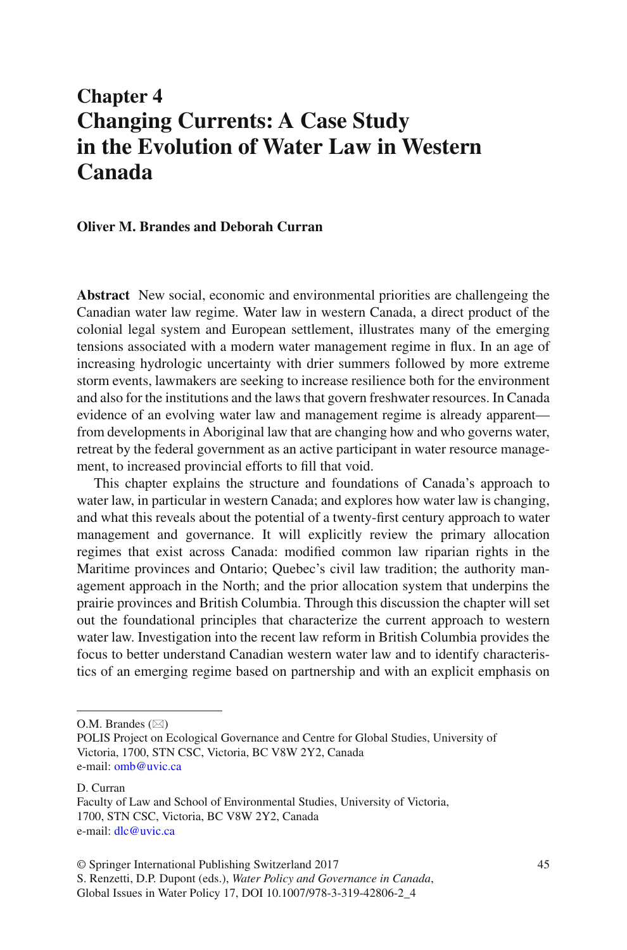# **Chapter 4 Changing Currents: A Case Study in the Evolution of Water Law in Western Canada**

#### **Oliver M. Brandes and Deborah Curran**

 **Abstract** New social, economic and environmental priorities are challengeing the Canadian water law regime. Water law in western Canada, a direct product of the colonial legal system and European settlement, illustrates many of the emerging tensions associated with a modern water management regime in flux. In an age of increasing hydrologic uncertainty with drier summers followed by more extreme storm events, lawmakers are seeking to increase resilience both for the environment and also for the institutions and the laws that govern freshwater resources. In Canada evidence of an evolving water law and management regime is already apparent from developments in Aboriginal law that are changing how and who governs water, retreat by the federal government as an active participant in water resource management, to increased provincial efforts to fill that void.

This chapter explains the structure and foundations of Canada's approach to water law, in particular in western Canada; and explores how water law is changing, and what this reveals about the potential of a twenty-first century approach to water management and governance. It will explicitly review the primary allocation regimes that exist across Canada: modified common law riparian rights in the Maritime provinces and Ontario; Quebec's civil law tradition; the authority management approach in the North; and the prior allocation system that underpins the prairie provinces and British Columbia. Through this discussion the chapter will set out the foundational principles that characterize the current approach to western water law. Investigation into the recent law reform in British Columbia provides the focus to better understand Canadian western water law and to identify characteristics of an emerging regime based on partnership and with an explicit emphasis on

O.M. Brandes  $(\boxtimes)$ 

D. Curran

POLIS Project on Ecological Governance and Centre for Global Studies , University of Victoria, 1700, STN CSC, Victoria, BC V8W 2Y2, Canada e-mail: [omb@uvic.ca](mailto:omb@uvic.ca)

Faculty of Law and School of Environmental Studies, University of Victoria, 1700, STN CSC, Victoria, BC V8W 2Y2, Canada e-mail: [dlc@uvic.ca](mailto:dlc@uvic.ca)

<sup>©</sup> Springer International Publishing Switzerland 2017 45

S. Renzetti, D.P. Dupont (eds.), *Water Policy and Governance in Canada*, Global Issues in Water Policy 17, DOI 10.1007/978-3-319-42806-2\_4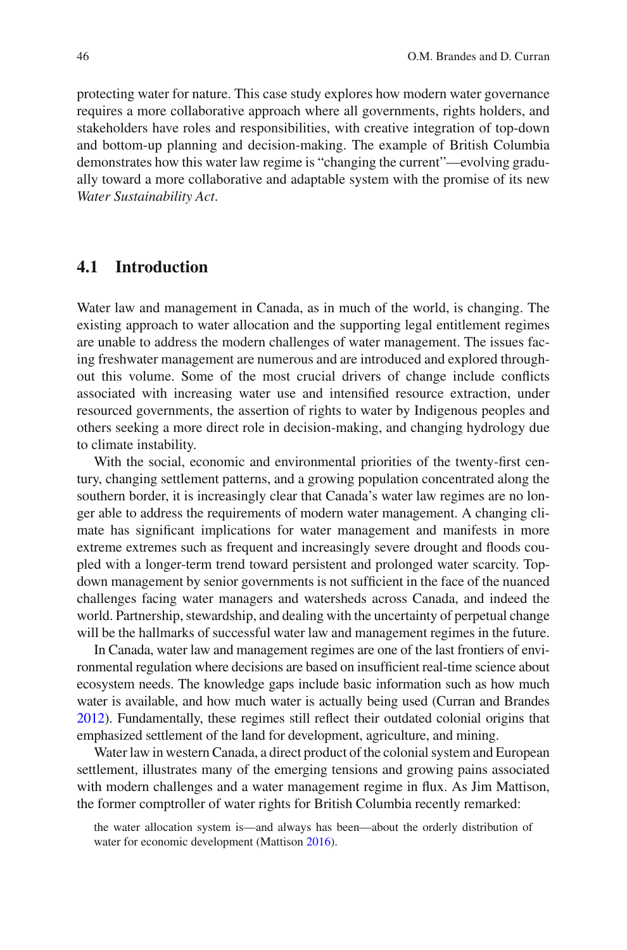protecting water for nature. This case study explores how modern water governance requires a more collaborative approach where all governments, rights holders, and stakeholders have roles and responsibilities, with creative integration of top-down and bottom-up planning and decision-making. The example of British Columbia demonstrates how this water law regime is "changing the current"—evolving gradually toward a more collaborative and adaptable system with the promise of its new *Water Sustainability Act* .

## **4.1 Introduction**

 Water law and management in Canada, as in much of the world, is changing. The existing approach to water allocation and the supporting legal entitlement regimes are unable to address the modern challenges of water management . The issues facing freshwater management are numerous and are introduced and explored throughout this volume. Some of the most crucial drivers of change include conflicts associated with increasing water use and intensified resource extraction, under resourced governments, the assertion of rights to water by Indigenous peoples and others seeking a more direct role in decision-making, and changing hydrology due to climate instability.

With the social, economic and environmental priorities of the twenty-first century, changing settlement patterns, and a growing population concentrated along the southern border, it is increasingly clear that Canada's water law regimes are no longer able to address the requirements of modern water management . A changing climate has significant implications for water management and manifests in more extreme extremes such as frequent and increasingly severe drought and floods coupled with a longer-term trend toward persistent and prolonged water scarcity. Topdown management by senior governments is not sufficient in the face of the nuanced challenges facing water managers and watersheds across Canada, and indeed the world. Partnership, stewardship, and dealing with the uncertainty of perpetual change will be the hallmarks of successful water law and management regimes in the future.

 In Canada, water law and management regimes are one of the last frontiers of environmental regulation where decisions are based on insufficient real-time science about ecosystem needs. The knowledge gaps include basic information such as how much water is available, and how much water is actually being used (Curran and Brandes [2012](#page-19-0)). Fundamentally, these regimes still reflect their outdated colonial origins that emphasized settlement of the land for development, agriculture, and mining.

 Water law in western Canada, a direct product of the colonial system and European settlement, illustrates many of the emerging tensions and growing pains associated with modern challenges and a water management regime in flux. As Jim Mattison, the former comptroller of water rights for British Columbia recently remarked:

the water allocation system is—and always has been—about the orderly distribution of water for economic development (Mattison 2016).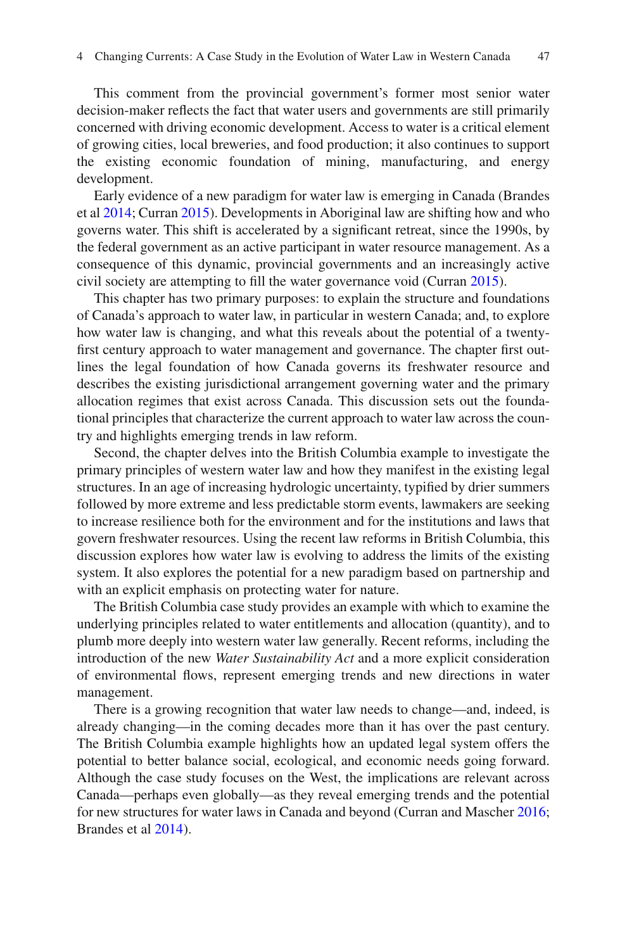This comment from the provincial government's former most senior water decision-maker reflects the fact that water users and governments are still primarily concerned with driving economic development. Access to water is a critical element of growing cities, local breweries, and food production; it also continues to support the existing economic foundation of mining, manufacturing, and energy development.

 Early evidence of a new paradigm for water law is emerging in Canada (Brandes et al [2014](#page-19-0) ; Curran [2015](#page-19-0) ). Developments in Aboriginal law are shifting how and who governs water. This shift is accelerated by a significant retreat, since the 1990s, by the federal government as an active participant in water resource management . As a consequence of this dynamic, provincial governments and an increasingly active civil society are attempting to fill the water governance void (Curran 2015).

 This chapter has two primary purposes: to explain the structure and foundations of Canada's approach to water law, in particular in western Canada; and, to explore how water law is changing, and what this reveals about the potential of a twentyfirst century approach to water management and governance. The chapter first outlines the legal foundation of how Canada governs its freshwater resource and describes the existing jurisdictional arrangement governing water and the primary allocation regimes that exist across Canada. This discussion sets out the foundational principles that characterize the current approach to water law across the country and highlights emerging trends in law reform.

 Second, the chapter delves into the British Columbia example to investigate the primary principles of western water law and how they manifest in the existing legal structures. In an age of increasing hydrologic uncertainty, typified by drier summers followed by more extreme and less predictable storm events, lawmakers are seeking to increase resilience both for the environment and for the institutions and laws that govern freshwater resources. Using the recent law reforms in British Columbia, this discussion explores how water law is evolving to address the limits of the existing system. It also explores the potential for a new paradigm based on partnership and with an explicit emphasis on protecting water for nature.

 The British Columbia case study provides an example with which to examine the underlying principles related to water entitlements and allocation (quantity), and to plumb more deeply into western water law generally. Recent reforms, including the introduction of the new *Water Sustainability Act* and a more explicit consideration of environmental flows, represent emerging trends and new directions in water management.

 There is a growing recognition that water law needs to change—and, indeed, is already changing—in the coming decades more than it has over the past century. The British Columbia example highlights how an updated legal system offers the potential to better balance social, ecological, and economic needs going forward. Although the case study focuses on the West, the implications are relevant across Canada—perhaps even globally—as they reveal emerging trends and the potential for new structures for water laws in Canada and beyond (Curran and Mascher 2016; Brandes et al  $2014$ .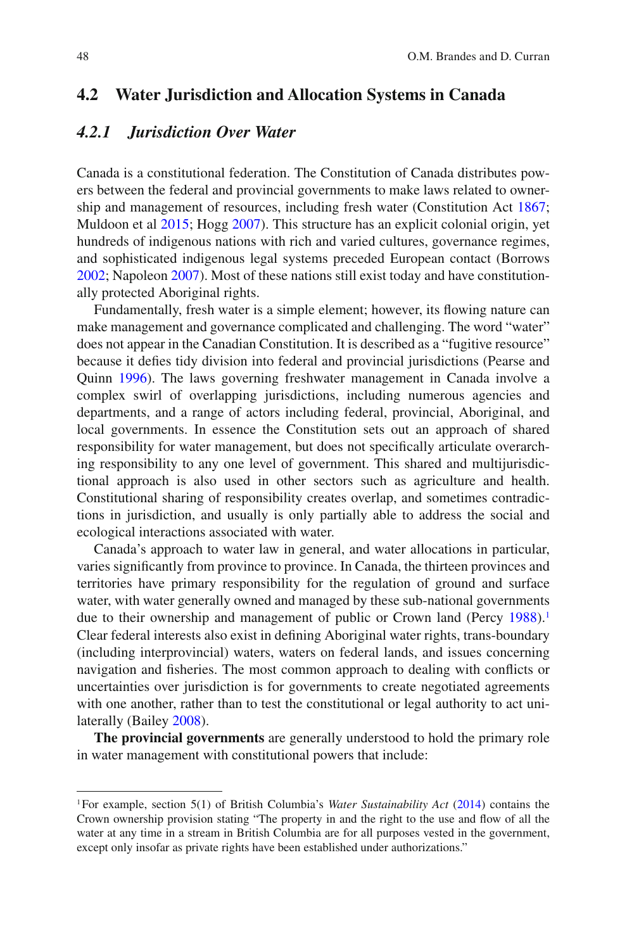## **4.2 Water Jurisdiction and Allocation Systems in Canada**

### *4.2.1 Jurisdiction Over Water*

 Canada is a constitutional federation. The Constitution of Canada distributes powers between the federal and provincial governments to make laws related to ownership and management of resources, including fresh water (Constitution Act 1867; Muldoon et al 2015; Hogg 2007). This structure has an explicit colonial origin, yet hundreds of indigenous nations with rich and varied cultures, governance regimes, and sophisticated indigenous legal systems preceded European contact (Borrows 2002; Napoleon 2007). Most of these nations still exist today and have constitutionally protected Aboriginal rights .

Fundamentally, fresh water is a simple element; however, its flowing nature can make management and governance complicated and challenging. The word "water" does not appear in the Canadian Constitution. It is described as a "fugitive resource" because it defies tidy division into federal and provincial jurisdictions (Pearse and Quinn [1996](#page-21-0)). The laws governing freshwater management in Canada involve a complex swirl of overlapping jurisdictions, including numerous agencies and departments, and a range of actors including federal, provincial, Aboriginal, and local governments. In essence the Constitution sets out an approach of shared responsibility for water management, but does not specifically articulate overarching responsibility to any one level of government. This shared and multijurisdictional approach is also used in other sectors such as agriculture and health. Constitutional sharing of responsibility creates overlap, and sometimes contradictions in jurisdiction, and usually is only partially able to address the social and ecological interactions associated with water.

 Canada's approach to water law in general, and water allocations in particular, varies significantly from province to province. In Canada, the thirteen provinces and territories have primary responsibility for the regulation of ground and surface water, with water generally owned and managed by these sub-national governments due to their ownership and management of public or Crown land (Percy 1988).<sup>1</sup> Clear federal interests also exist in defining Aboriginal water rights, trans-boundary (including interprovincial) waters, waters on federal lands, and issues concerning navigation and fisheries. The most common approach to dealing with conflicts or uncertainties over jurisdiction is for governments to create negotiated agreements with one another, rather than to test the constitutional or legal authority to act unilaterally (Bailey 2008).

**The provincial governments** are generally understood to hold the primary role in water management with constitutional powers that include:

<sup>&</sup>lt;sup>1</sup> For example, section 5(1) of British Columbia's *Water Sustainability Act* (2014) contains the Crown ownership provision stating "The property in and the right to the use and flow of all the water at any time in a stream in British Columbia are for all purposes vested in the government, except only insofar as private rights have been established under authorizations."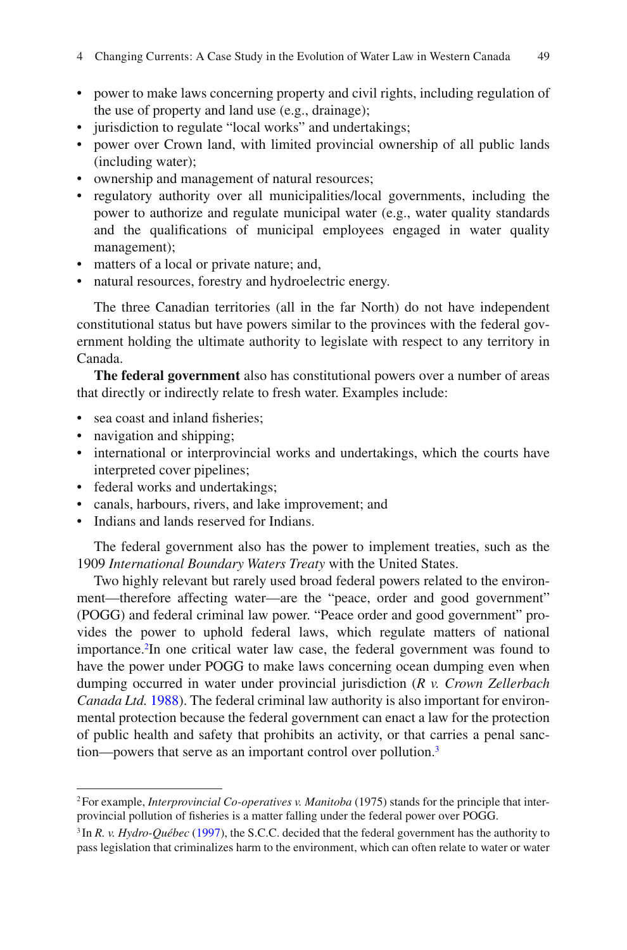- power to make laws concerning property and civil rights, including regulation of the use of property and land use (e.g., drainage);
- jurisdiction to regulate "local works" and undertakings;
- power over Crown land, with limited provincial ownership of all public lands (including water);
- ownership and management of natural resources;
- regulatory authority over all municipalities/local governments, including the power to authorize and regulate municipal water (e.g., water quality standards and the qualifications of municipal employees engaged in water quality management);
- matters of a local or private nature; and,
- natural resources, forestry and hydroelectric energy.

 The three Canadian territories (all in the far North) do not have independent constitutional status but have powers similar to the provinces with the federal government holding the ultimate authority to legislate with respect to any territory in Canada.

**The federal government** also has constitutional powers over a number of areas that directly or indirectly relate to fresh water. Examples include:

- sea coast and inland fisheries;
- navigation and shipping;
- international or interprovincial works and undertakings, which the courts have interpreted cover pipelines;
- federal works and undertakings;
- canals, harbours, rivers, and lake improvement; and
- Indians and lands reserved for Indians.

 The federal government also has the power to implement treaties, such as the 1909 *International Boundary Waters Treaty* with the United States .

 Two highly relevant but rarely used broad federal powers related to the environment—therefore affecting water—are the "peace, order and good government" (POGG) and federal criminal law power. "Peace order and good government" provides the power to uphold federal laws, which regulate matters of national importance.<sup>2</sup>In one critical water law case, the federal government was found to have the power under POGG to make laws concerning ocean dumping even when dumping occurred in water under provincial jurisdiction (*R v. Crown Zellerbach Canada Ltd.* [1988](#page-21-0)). The federal criminal law authority is also important for environmental protection because the federal government can enact a law for the protection of public health and safety that prohibits an activity, or that carries a penal sanction—powers that serve as an important control over pollution.<sup>3</sup>

<sup>2</sup> For example, *Interprovincial Co-operatives v. Manitoba* (1975) stands for the principle that interprovincial pollution of fisheries is a matter falling under the federal power over POGG.

<sup>&</sup>lt;sup>3</sup> In *R. v. Hydro-Québec* (1997), the S.C.C. decided that the federal government has the authority to pass legislation that criminalizes harm to the environment, which can often relate to water or water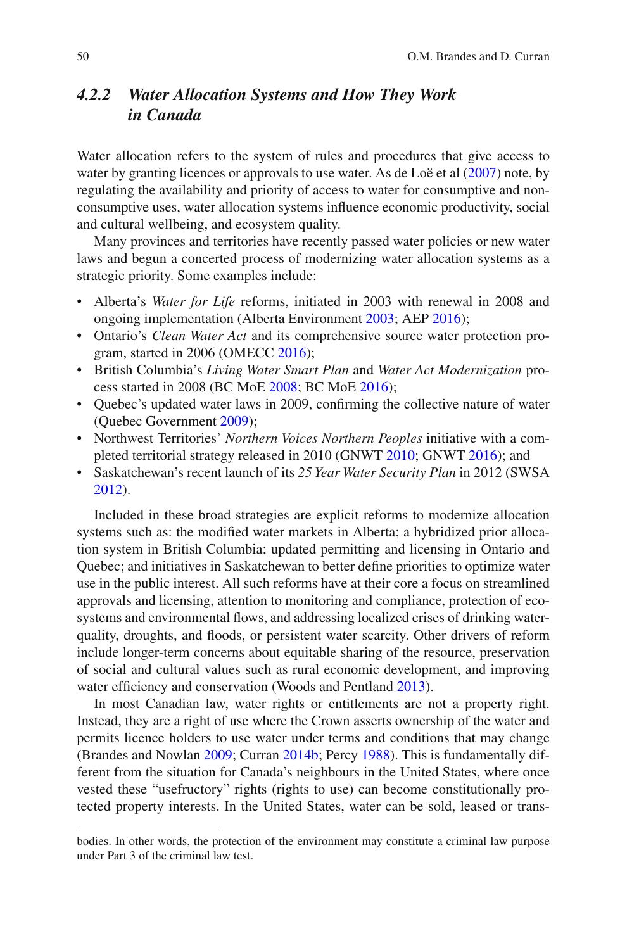## *4.2.2 Water Allocation Systems and How They Work in Canada*

 Water allocation refers to the system of rules and procedures that give access to water by granting licences or approvals to use water. As de Loë et al (2007) note, by regulating the availability and priority of access to water for consumptive and nonconsumptive uses, water allocation systems influence economic productivity, social and cultural wellbeing, and ecosystem quality.

 Many provinces and territories have recently passed water policies or new water laws and begun a concerted process of modernizing water allocation systems as a strategic priority. Some examples include:

- Alberta's *Water for Life* reforms, initiated in 2003 with renewal in 2008 and ongoing implementation (Alberta Environment 2003; AEP [2016](#page-18-0));
- Ontario's *Clean Water Act* and its comprehensive source water protection program, started in 2006 (OMECC 2016);
- British Columbia 's *Living Water Smart Plan* and *Water Act Modernization* pro-cess started in 2008 (BC MoE 2008; BC MoE [2016](#page-18-0));
- Ouebec's updated water laws in 2009, confirming the collective nature of water (Ouebec Government [2009](#page-21-0));
- Northwest Territories ' *Northern Voices Northern Peoples* initiative with a completed territorial strategy released in  $2010$  (GNWT  $2010$ ; GNWT  $2016$ ); and
- Saskatchewan's recent launch of its *25 Year Water Security Plan* in 2012 (SWSA 2012).

 Included in these broad strategies are explicit reforms to modernize allocation systems such as: the modified water markets in Alberta; a hybridized prior allocation system in British Columbia; updated permitting and licensing in Ontario and Quebec; and initiatives in Saskatchewan to better define priorities to optimize water use in the public interest. All such reforms have at their core a focus on streamlined approvals and licensing , attention to monitoring and compliance, protection of ecosystems and environmental flows, and addressing localized crises of drinking waterquality, droughts, and floods, or persistent water scarcity. Other drivers of reform include longer-term concerns about equitable sharing of the resource, preservation of social and cultural values such as rural economic development, and improving water efficiency and conservation (Woods and Pentland [2013](#page-22-0)).

 In most Canadian law, water rights or entitlements are not a property right. Instead, they are a right of use where the Crown asserts ownership of the water and permits licence holders to use water under terms and conditions that may change (Brandes and Nowlan 2009; Curran [2014b](#page-19-0); Percy [1988](#page-21-0)). This is fundamentally different from the situation for Canada's neighbours in the United States, where once vested these "usefructory" rights (rights to use) can become constitutionally protected property interests. In the United States, water can be sold, leased or trans-

bodies. In other words, the protection of the environment may constitute a criminal law purpose under Part 3 of the criminal law test.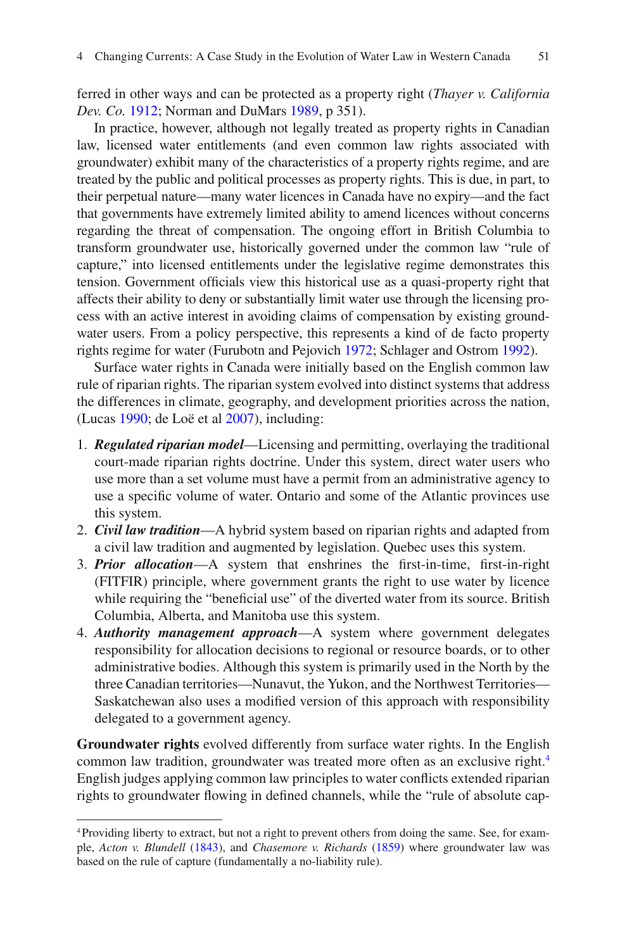ferred in other ways and can be protected as a property right ( *Thayer v. California Dev. Co.* 1912; Norman and DuMars [1989](#page-20-0), p 351).

 In practice, however, although not legally treated as property rights in Canadian law, licensed water entitlements (and even common law rights associated with groundwater) exhibit many of the characteristics of a property rights regime, and are treated by the public and political processes as property rights . This is due, in part, to their perpetual nature—many water licences in Canada have no expiry—and the fact that governments have extremely limited ability to amend licences without concerns regarding the threat of compensation. The ongoing effort in British Columbia to transform groundwater use, historically governed under the common law "rule of capture," into licensed entitlements under the legislative regime demonstrates this tension. Government officials view this historical use as a quasi-property right that affects their ability to deny or substantially limit water use through the licensing process with an active interest in avoiding claims of compensation by existing groundwater users. From a policy perspective, this represents a kind of de facto property rights regime for water (Furubotn and Pejovich [1972](#page-20-0); Schlager and Ostrom 1992).

 Surface water rights in Canada were initially based on the English common law rule of riparian rights . The riparian system evolved into distinct systems that address the differences in climate, geography, and development priorities across the nation,  $(Lucas 1990; de Loë et al 2007)$  $(Lucas 1990; de Loë et al 2007)$  $(Lucas 1990; de Loë et al 2007)$ , including:

- 1. *Regulated riparian model* —Licensing and permitting, overlaying the traditional court-made riparian rights doctrine. Under this system, direct water users who use more than a set volume must have a permit from an administrative agency to use a specific volume of water. Ontario and some of the Atlantic provinces use this system.
- 2. *Civil law tradition*—A hybrid system based on riparian rights and adapted from a civil law tradition and augmented by legislation. Quebec uses this system.
- 3. **Prior allocation**—A system that enshrines the first-in-time, first-in-right (FITFIR) principle, where government grants the right to use water by licence while requiring the "beneficial use" of the diverted water from its source. British Columbia, Alberta, and Manitoba use this system.
- 4. *Authority management approach* —A system where government delegates responsibility for allocation decisions to regional or resource boards, or to other administrative bodies. Although this system is primarily used in the North by the three Canadian territories—Nunavut, the Yukon, and the Northwest Territories — Saskatchewan also uses a modified version of this approach with responsibility delegated to a government agency.

**Groundwater rights** evolved differently from surface water rights . In the English common law tradition, groundwater was treated more often as an exclusive right.<sup>4</sup> English judges applying common law principles to water conflicts extended riparian rights to groundwater flowing in defined channels, while the "rule of absolute cap-

<sup>4</sup> Providing liberty to extract, but not a right to prevent others from doing the same. See, for example, *Acton v. Blundell* [\( 1843](#page-18-0) ), and *Chasemore v. Richards* ( [1859 \)](#page-19-0) where groundwater law was based on the rule of capture (fundamentally a no-liability rule).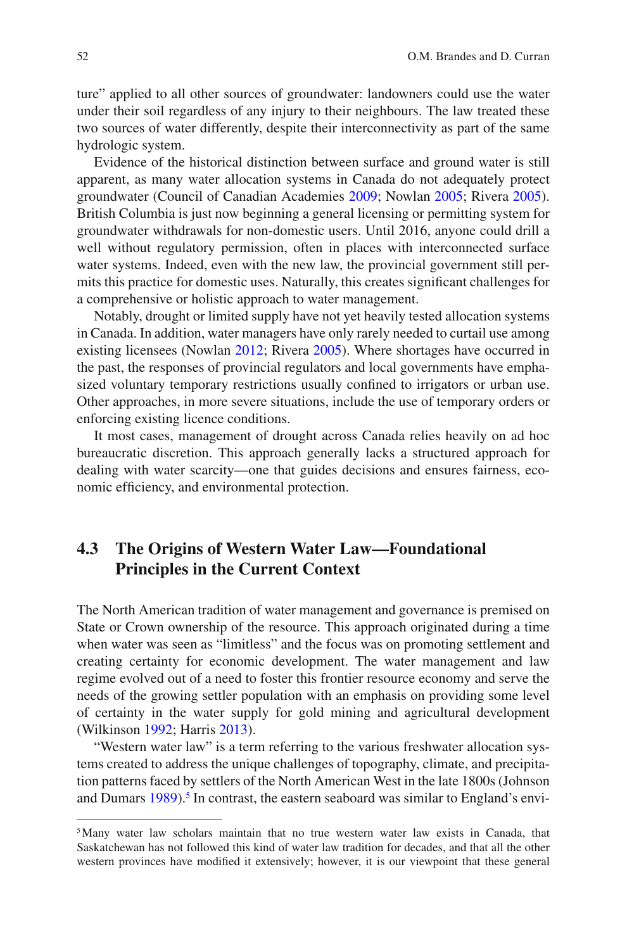ture" applied to all other sources of groundwater: landowners could use the water under their soil regardless of any injury to their neighbours. The law treated these two sources of water differently, despite their interconnectivity as part of the same hydrologic system.

 Evidence of the historical distinction between surface and ground water is still apparent, as many water allocation systems in Canada do not adequately protect groundwater (Council of Canadian Academies 2009; Nowlan 2005; Rivera 2005). British Columbia is just now beginning a general licensing or permitting system for groundwater withdrawals for non-domestic users. Until 2016, anyone could drill a well without regulatory permission, often in places with interconnected surface water systems. Indeed, even with the new law, the provincial government still permits this practice for domestic uses. Naturally, this creates significant challenges for a comprehensive or holistic approach to water management.

 Notably, drought or limited supply have not yet heavily tested allocation systems in Canada. In addition, water managers have only rarely needed to curtail use among existing licensees (Nowlan 2012; Rivera 2005). Where shortages have occurred in the past, the responses of provincial regulators and local governments have emphasized voluntary temporary restrictions usually confined to irrigators or urban use. Other approaches, in more severe situations, include the use of temporary orders or enforcing existing licence conditions.

 It most cases, management of drought across Canada relies heavily on ad hoc bureaucratic discretion. This approach generally lacks a structured approach for dealing with water scarcity—one that guides decisions and ensures fairness, economic efficiency, and environmental protection.

## **4.3 The Origins of Western Water Law — Foundational Principles in the Current Context**

 The North American tradition of water management and governance is premised on State or Crown ownership of the resource. This approach originated during a time when water was seen as "limitless" and the focus was on promoting settlement and creating certainty for economic development. The water management and law regime evolved out of a need to foster this frontier resource economy and serve the needs of the growing settler population with an emphasis on providing some level of certainty in the water supply for gold mining and agricultural development (Wilkinson 1992; Harris 2013).

 "Western water law" is a term referring to the various freshwater allocation systems created to address the unique challenges of topography, climate, and precipitation patterns faced by settlers of the North American West in the late 1800s (Johnson and Dumars [1989](#page-20-0)).<sup>5</sup> In contrast, the eastern seaboard was similar to England's envi-

<sup>&</sup>lt;sup>5</sup>Many water law scholars maintain that no true western water law exists in Canada, that Saskatchewan has not followed this kind of water law tradition for decades, and that all the other western provinces have modified it extensively; however, it is our viewpoint that these general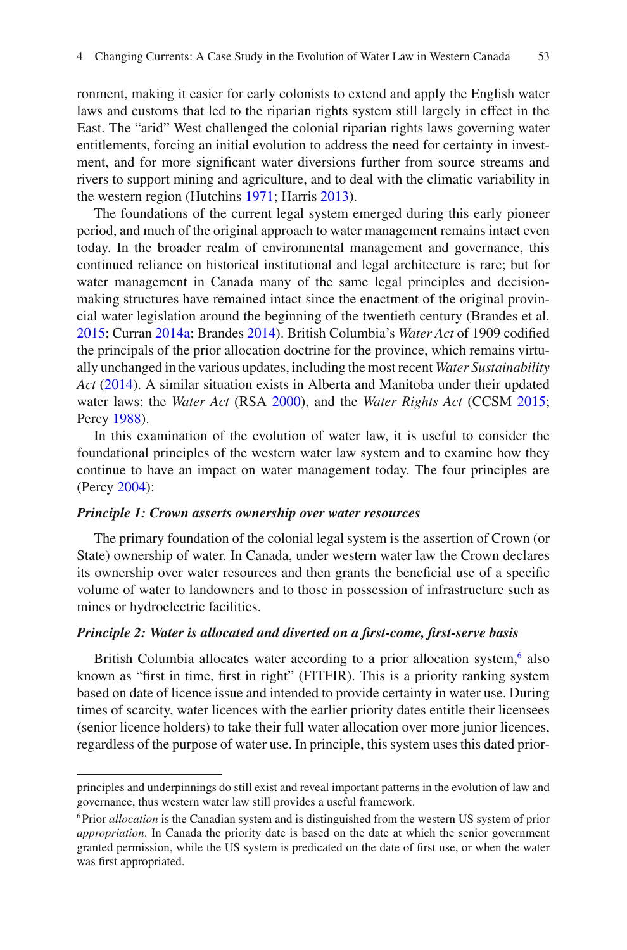ronment, making it easier for early colonists to extend and apply the English water laws and customs that led to the riparian rights system still largely in effect in the East. The "arid" West challenged the colonial riparian rights laws governing water entitlements, forcing an initial evolution to address the need for certainty in investment, and for more significant water diversions further from source streams and rivers to support mining and agriculture, and to deal with the climatic variability in the western region (Hutchins [1971](#page-20-0); Harris 2013).

 The foundations of the current legal system emerged during this early pioneer period, and much of the original approach to water management remains intact even today. In the broader realm of environmental management and governance , this continued reliance on historical institutional and legal architecture is rare; but for water management in Canada many of the same legal principles and decisionmaking structures have remained intact since the enactment of the original provincial water legislation around the beginning of the twentieth century (Brandes et al. 2015; Curran [2014a](#page-19-0); Brandes [2014](#page-19-0)). British Columbia's *Water Act* of 1909 codified the principals of the prior allocation doctrine for the province, which remains virtually unchanged in the various updates, including the most recent *Water Sustainability Act* (2014). A similar situation exists in Alberta and Manitoba under their updated water laws: the *Water Act* (RSA 2000), and the *Water Rights Act* (CCSM 2015; Percy 1988).

 In this examination of the evolution of water law, it is useful to consider the foundational principles of the western water law system and to examine how they continue to have an impact on water management today. The four principles are (Percy [2004](#page-21-0)):

#### *Principle 1: Crown asserts ownership over water resources*

 The primary foundation of the colonial legal system is the assertion of Crown (or State) ownership of water. In Canada, under western water law the Crown declares its ownership over water resources and then grants the beneficial use of a specific volume of water to landowners and to those in possession of infrastructure such as mines or hydroelectric facilities.

#### *Principle 2: Water is allocated and diverted on a first-come, first-serve basis*

British Columbia allocates water according to a prior allocation system,<sup>6</sup> also known as "first in time, first in right" (FITFIR). This is a priority ranking system based on date of licence issue and intended to provide certainty in water use. During times of scarcity, water licences with the earlier priority dates entitle their licensees (senior licence holders) to take their full water allocation over more junior licences, regardless of the purpose of water use. In principle, this system uses this dated prior-

principles and underpinnings do still exist and reveal important patterns in the evolution of law and governance , thus western water law still provides a useful framework.

<sup>&</sup>lt;sup>6</sup> Prior *allocation* is the Canadian system and is distinguished from the western US system of prior  *appropriation* . In Canada the priority date is based on the date at which the senior government granted permission, while the US system is predicated on the date of first use, or when the water was first appropriated.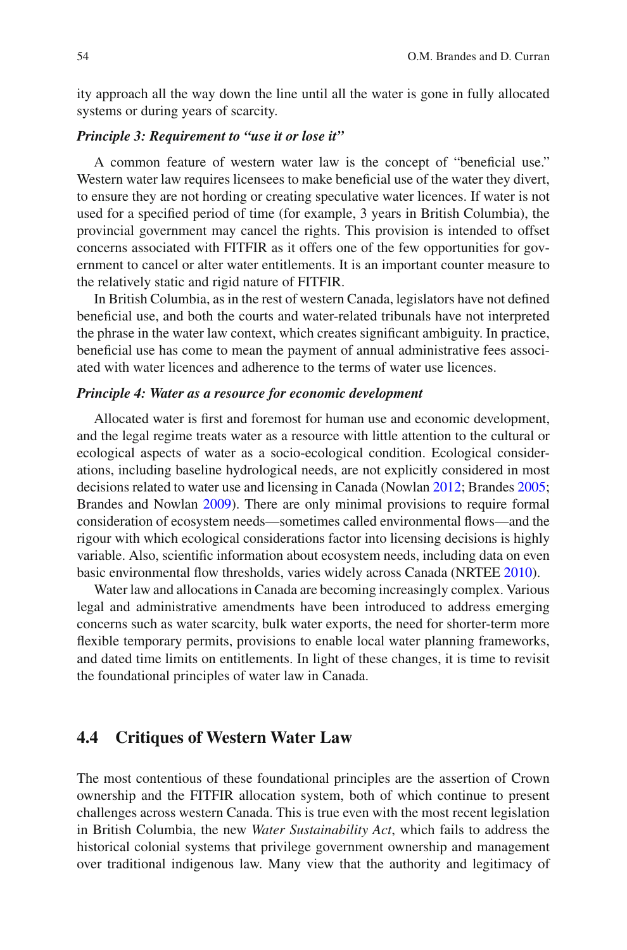ity approach all the way down the line until all the water is gone in fully allocated systems or during years of scarcity.

### *Principle 3: Requirement to "use it or lose it"*

A common feature of western water law is the concept of "beneficial use." Western water law requires licensees to make beneficial use of the water they divert, to ensure they are not hording or creating speculative water licences. If water is not used for a specified period of time (for example, 3 years in British Columbia), the provincial government may cancel the rights . This provision is intended to offset concerns associated with FITFIR as it offers one of the few opportunities for government to cancel or alter water entitlements. It is an important counter measure to the relatively static and rigid nature of FITFIR.

In British Columbia, as in the rest of western Canada, legislators have not defined beneficial use, and both the courts and water-related tribunals have not interpreted the phrase in the water law context, which creates significant ambiguity. In practice, beneficial use has come to mean the payment of annual administrative fees associ-ated with water licences and adherence to the terms of water use licences.

#### *Principle 4: Water as a resource for economic development*

Allocated water is first and foremost for human use and economic development, and the legal regime treats water as a resource with little attention to the cultural or ecological aspects of water as a socio-ecological condition. Ecological considerations, including baseline hydrological needs, are not explicitly considered in most decisions related to water use and licensing in Canada (Nowlan [2012](#page-21-0); Brandes 2005; Brandes and Nowlan [2009](#page-19-0)). There are only minimal provisions to require formal consideration of ecosystem needs—sometimes called environmental flows—and the rigour with which ecological considerations factor into licensing decisions is highly variable. Also, scientific information about ecosystem needs, including data on even basic environmental flow thresholds, varies widely across Canada (NRTEE [2010](#page-20-0)).

 Water law and allocations in Canada are becoming increasingly complex. Various legal and administrative amendments have been introduced to address emerging concerns such as water scarcity, bulk water exports, the need for shorter-term more flexible temporary permits, provisions to enable local water planning frameworks, and dated time limits on entitlements. In light of these changes, it is time to revisit the foundational principles of water law in Canada.

### **4.4 Critiques of Western Water Law**

 The most contentious of these foundational principles are the assertion of Crown ownership and the FITFIR allocation system, both of which continue to present challenges across western Canada. This is true even with the most recent legislation in British Columbia, the new *Water Sustainability Act*, which fails to address the historical colonial systems that privilege government ownership and management over traditional indigenous law. Many view that the authority and legitimacy of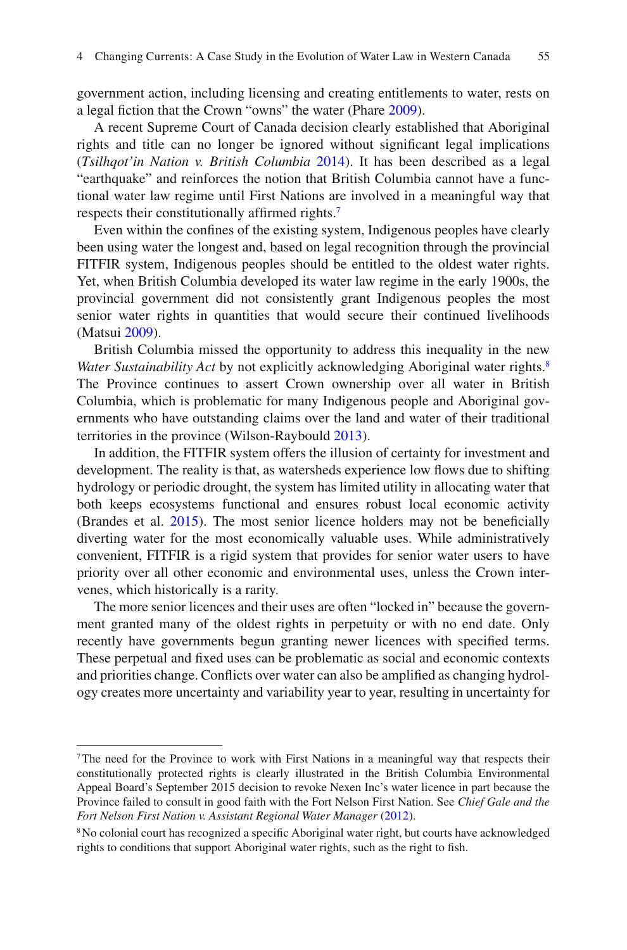government action, including licensing and creating entitlements to water, rests on a legal fiction that the Crown "owns" the water (Phare [2009](#page-21-0)).

 A recent Supreme Court of Canada decision clearly established that Aboriginal rights and title can no longer be ignored without significant legal implications ( *Tsilhqot'in Nation v. British Columbia* [2014 \)](#page-21-0). It has been described as a legal "earthquake" and reinforces the notion that British Columbia cannot have a functional water law regime until First Nations are involved in a meaningful way that respects their constitutionally affirmed rights.<sup>7</sup>

Even within the confines of the existing system, Indigenous peoples have clearly been using water the longest and, based on legal recognition through the provincial FITFIR system, Indigenous peoples should be entitled to the oldest water rights. Yet, when British Columbia developed its water law regime in the early 1900s, the provincial government did not consistently grant Indigenous peoples the most senior water rights in quantities that would secure their continued livelihoods (Matsui [2009](#page-20-0)).

 British Columbia missed the opportunity to address this inequality in the new *Water Sustainability Act* by not explicitly acknowledging Aboriginal water rights.<sup>8</sup> The Province continues to assert Crown ownership over all water in British Columbia, which is problematic for many Indigenous people and Aboriginal governments who have outstanding claims over the land and water of their traditional territories in the province (Wilson-Raybould [2013](#page-22-0)).

 In addition, the FITFIR system offers the illusion of certainty for investment and development. The reality is that, as watersheds experience low flows due to shifting hydrology or periodic drought, the system has limited utility in allocating water that both keeps ecosystems functional and ensures robust local economic activity (Brandes et al.  $2015$ ). The most senior licence holders may not be beneficially diverting water for the most economically valuable uses. While administratively convenient, FITFIR is a rigid system that provides for senior water users to have priority over all other economic and environmental uses, unless the Crown intervenes, which historically is a rarity.

 The more senior licences and their uses are often "locked in" because the government granted many of the oldest rights in perpetuity or with no end date. Only recently have governments begun granting newer licences with specified terms. These perpetual and fixed uses can be problematic as social and economic contexts and priorities change. Conflicts over water can also be amplified as changing hydrology creates more uncertainty and variability year to year, resulting in uncertainty for

<sup>7</sup> The need for the Province to work with First Nations in a meaningful way that respects their constitutionally protected rights is clearly illustrated in the British Columbia Environmental Appeal Board's September 2015 decision to revoke Nexen Inc's water licence in part because the Province failed to consult in good faith with the Fort Nelson First Nation. See *Chief Gale and the Fort Nelson First Nation v. Assistant Regional Water Manager (2012).* 

<sup>&</sup>lt;sup>8</sup> No colonial court has recognized a specific Aboriginal water right, but courts have acknowledged rights to conditions that support Aboriginal water rights, such as the right to fish.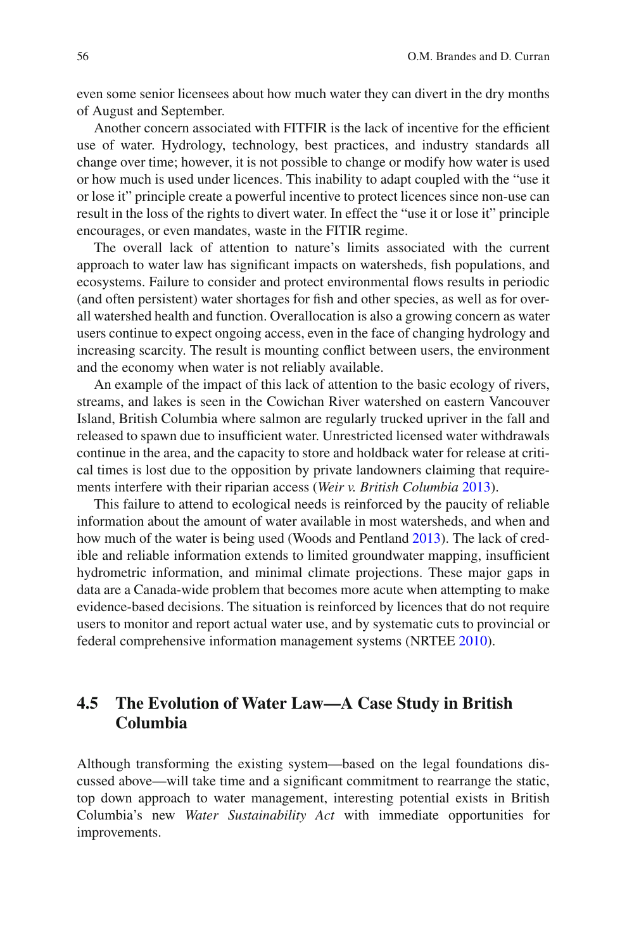even some senior licensees about how much water they can divert in the dry months of August and September.

Another concern associated with FITFIR is the lack of incentive for the efficient use of water. Hydrology, technology, best practices, and industry standards all change over time; however, it is not possible to change or modify how water is used or how much is used under licences. This inability to adapt coupled with the "use it or lose it" principle create a powerful incentive to protect licences since non-use can result in the loss of the rights to divert water. In effect the "use it or lose it" principle encourages, or even mandates, waste in the FITIR regime.

 The overall lack of attention to nature's limits associated with the current approach to water law has significant impacts on watersheds, fish populations, and ecosystems. Failure to consider and protect environmental flows results in periodic (and often persistent) water shortages for fish and other species, as well as for overall watershed health and function. Overallocation is also a growing concern as water users continue to expect ongoing access, even in the face of changing hydrology and increasing scarcity. The result is mounting conflict between users, the environment and the economy when water is not reliably available.

 An example of the impact of this lack of attention to the basic ecology of rivers, streams, and lakes is seen in the Cowichan River watershed on eastern Vancouver Island, British Columbia where salmon are regularly trucked upriver in the fall and released to spawn due to insufficient water. Unrestricted licensed water withdrawals continue in the area, and the capacity to store and holdback water for release at critical times is lost due to the opposition by private landowners claiming that requirements interfere with their riparian access ( *Weir v. British Columbia* [2013](#page-22-0) ).

 This failure to attend to ecological needs is reinforced by the paucity of reliable information about the amount of water available in most watersheds, and when and how much of the water is being used (Woods and Pentland [2013](#page-22-0)). The lack of credible and reliable information extends to limited groundwater mapping, insufficient hydrometric information, and minimal climate projections. These major gaps in data are a Canada-wide problem that becomes more acute when attempting to make evidence-based decisions. The situation is reinforced by licences that do not require users to monitor and report actual water use, and by systematic cuts to provincial or federal comprehensive information management systems (NRTEE 2010).

## **4.5 The Evolution of Water Law — A Case Study in British Columbia**

 Although transforming the existing system—based on the legal foundations discussed above—will take time and a significant commitment to rearrange the static, top down approach to water management, interesting potential exists in British Columbia 's new *Water Sustainability Act* with immediate opportunities for improvements.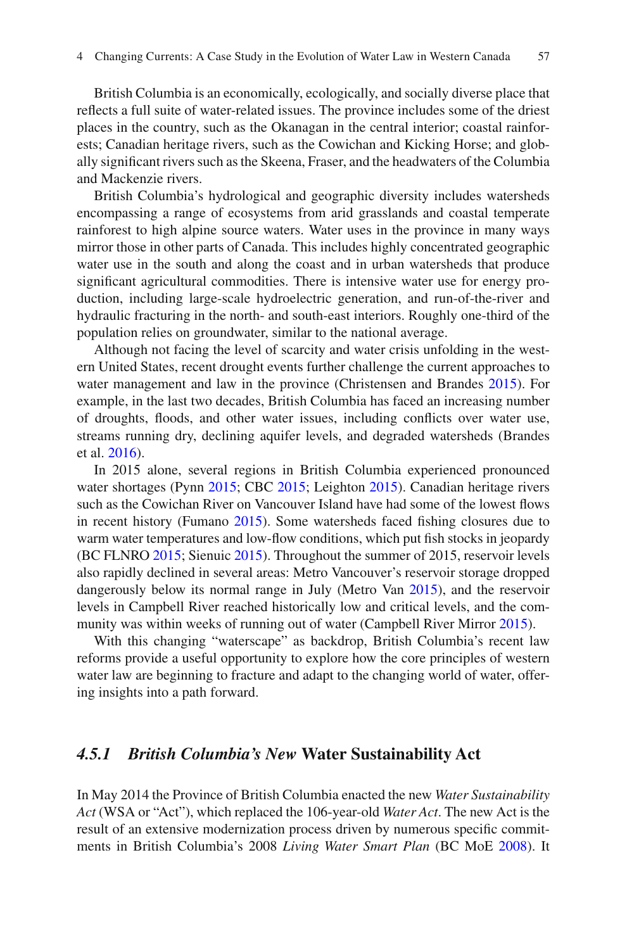British Columbia is an economically, ecologically, and socially diverse place that reflects a full suite of water-related issues. The province includes some of the driest places in the country, such as the Okanagan in the central interior; coastal rainforests; Canadian heritage rivers, such as the Cowichan and Kicking Horse; and globally significant rivers such as the Skeena, Fraser, and the headwaters of the Columbia and Mackenzie rivers.

British Columbia's hydrological and geographic diversity includes watersheds encompassing a range of ecosystems from arid grasslands and coastal temperate rainforest to high alpine source waters. Water uses in the province in many ways mirror those in other parts of Canada. This includes highly concentrated geographic water use in the south and along the coast and in urban watersheds that produce significant agricultural commodities. There is intensive water use for energy production, including large-scale hydroelectric generation, and run-of-the-river and hydraulic fracturing in the north- and south-east interiors. Roughly one-third of the population relies on groundwater, similar to the national average.

 Although not facing the level of scarcity and water crisis unfolding in the western United States , recent drought events further challenge the current approaches to water management and law in the province (Christensen and Brandes 2015). For example, in the last two decades, British Columbia has faced an increasing number of droughts, floods, and other water issues, including conflicts over water use, streams running dry, declining aquifer levels, and degraded watersheds (Brandes et al.  $2016$ .

 In 2015 alone, several regions in British Columbia experienced pronounced water shortages (Pynn [2015](#page-19-0); CBC 2015; Leighton 2015). Canadian heritage rivers such as the Cowichan River on Vancouver Island have had some of the lowest flows in recent history (Fumano [2015](#page-20-0)). Some watersheds faced fishing closures due to warm water temperatures and low-flow conditions, which put fish stocks in jeopardy (BC FLNRO [2015](#page-18-0) ; Sienuic [2015](#page-21-0) ). Throughout the summer of 2015, reservoir levels also rapidly declined in several areas: Metro Vancouver's reservoir storage dropped dangerously below its normal range in July (Metro Van 2015), and the reservoir levels in Campbell River reached historically low and critical levels, and the com-munity was within weeks of running out of water (Campbell River Mirror [2015](#page-19-0)).

 With this changing "waterscape" as backdrop, British Columbia 's recent law reforms provide a useful opportunity to explore how the core principles of western water law are beginning to fracture and adapt to the changing world of water, offering insights into a path forward.

## *4.5.1 British Columbia 's New* **Water Sustainability Act**

 In May 2014 the Province of British Columbia enacted the new *Water Sustainability Act* (WSA or "Act"), which replaced the 106-year-old *Water Act* . The new Act is the result of an extensive modernization process driven by numerous specific commitments in British Columbia's 2008 *Living Water Smart Plan* (BC MoE [2008 \)](#page-18-0). It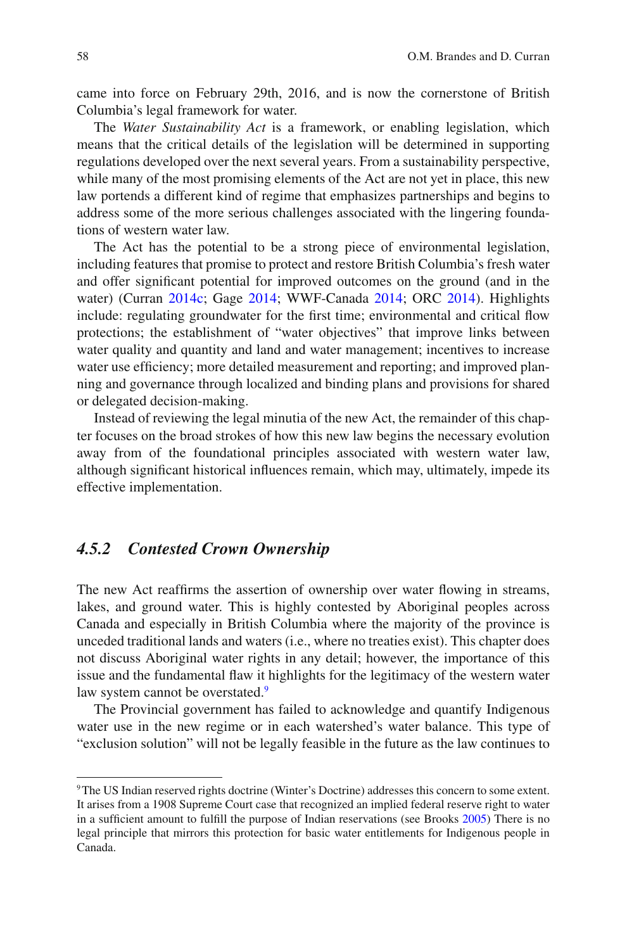came into force on February 29th, 2016, and is now the cornerstone of British Columbia's legal framework for water.

 The *Water Sustainability Act* is a framework, or enabling legislation, which means that the critical details of the legislation will be determined in supporting regulations developed over the next several years. From a sustainability perspective, while many of the most promising elements of the Act are not yet in place, this new law portends a different kind of regime that emphasizes partnerships and begins to address some of the more serious challenges associated with the lingering foundations of western water law.

 The Act has the potential to be a strong piece of environmental legislation, including features that promise to protect and restore British Columbia 's fresh water and offer significant potential for improved outcomes on the ground (and in the water) (Curran [2014](#page-22-0)c; Gage 2014; WWF-Canada 2014; ORC 2014). Highlights include: regulating groundwater for the first time; environmental and critical flow protections; the establishment of "water objectives" that improve links between water quality and quantity and land and water management; incentives to increase water use efficiency; more detailed measurement and reporting; and improved planning and governance through localized and binding plans and provisions for shared or delegated decision-making.

 Instead of reviewing the legal minutia of the new Act, the remainder of this chapter focuses on the broad strokes of how this new law begins the necessary evolution away from of the foundational principles associated with western water law, although significant historical influences remain, which may, ultimately, impede its effective implementation.

## *4.5.2 Contested Crown Ownership*

The new Act reaffirms the assertion of ownership over water flowing in streams, lakes, and ground water. This is highly contested by Aboriginal peoples across Canada and especially in British Columbia where the majority of the province is unceded traditional lands and waters (i.e., where no treaties exist). This chapter does not discuss Aboriginal water rights in any detail; however, the importance of this issue and the fundamental flaw it highlights for the legitimacy of the western water law system cannot be overstated.<sup>9</sup>

 The Provincial government has failed to acknowledge and quantify Indigenous water use in the new regime or in each watershed's water balance. This type of "exclusion solution" will not be legally feasible in the future as the law continues to

<sup>9</sup> The US Indian reserved rights doctrine (Winter's Doctrine) addresses this concern to some extent. It arises from a 1908 Supreme Court case that recognized an implied federal reserve right to water in a sufficient amount to fulfill the purpose of Indian reservations (see Brooks [2005](#page-19-0)) There is no legal principle that mirrors this protection for basic water entitlements for Indigenous people in Canada.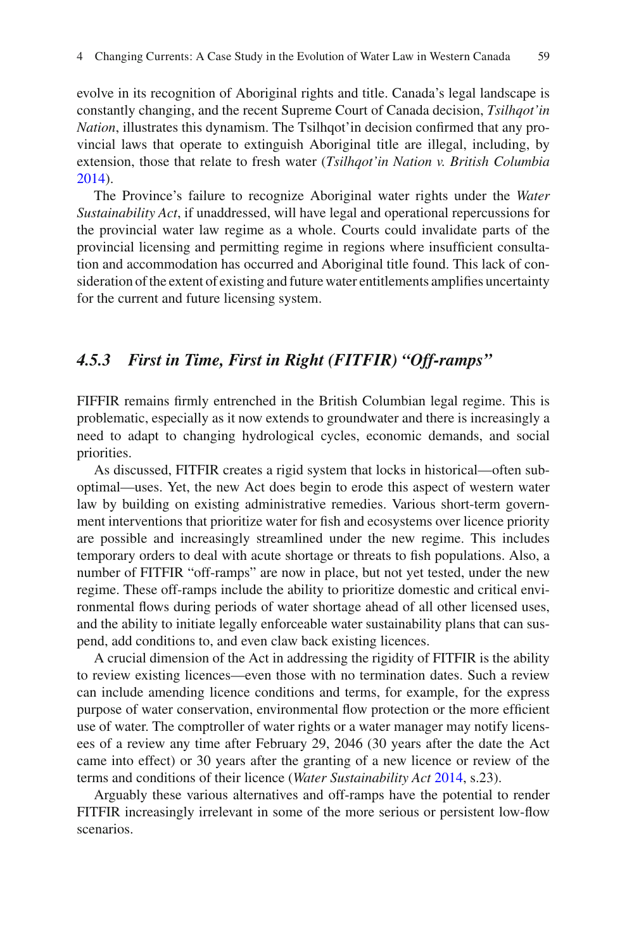evolve in its recognition of Aboriginal rights and title. Canada's legal landscape is constantly changing, and the recent Supreme Court of Canada decision, *Tsilhqot'in Nation*, illustrates this dynamism. The Tsilhqot'in decision confirmed that any provincial laws that operate to extinguish Aboriginal title are illegal, including, by extension, those that relate to fresh water ( *Tsilhqot'in Nation v. British Columbia*  $2014$ .

 The Province's failure to recognize Aboriginal water rights under the *Water Sustainability Act* , if unaddressed, will have legal and operational repercussions for the provincial water law regime as a whole. Courts could invalidate parts of the provincial licensing and permitting regime in regions where insufficient consultation and accommodation has occurred and Aboriginal title found. This lack of consideration of the extent of existing and future water entitlements amplifies uncertainty for the current and future licensing system.

## *4.5.3 First in Time, First in Right (FITFIR) "Off-ramps"*

FIFFIR remains firmly entrenched in the British Columbian legal regime. This is problematic, especially as it now extends to groundwater and there is increasingly a need to adapt to changing hydrological cycles, economic demands, and social priorities.

 As discussed, FITFIR creates a rigid system that locks in historical—often suboptimal—uses. Yet, the new Act does begin to erode this aspect of western water law by building on existing administrative remedies. Various short-term government interventions that prioritize water for fish and ecosystems over licence priority are possible and increasingly streamlined under the new regime. This includes temporary orders to deal with acute shortage or threats to fish populations. Also, a number of FITFIR "off-ramps" are now in place, but not yet tested, under the new regime. These off-ramps include the ability to prioritize domestic and critical environmental flows during periods of water shortage ahead of all other licensed uses, and the ability to initiate legally enforceable water sustainability plans that can suspend, add conditions to, and even claw back existing licences.

 A crucial dimension of the Act in addressing the rigidity of FITFIR is the ability to review existing licences—even those with no termination dates. Such a review can include amending licence conditions and terms, for example, for the express purpose of water conservation, environmental flow protection or the more efficient use of water. The comptroller of water rights or a water manager may notify licensees of a review any time after February 29, 2046 (30 years after the date the Act came into effect) or 30 years after the granting of a new licence or review of the terms and conditions of their licence ( *Water Sustainability Act* [2014 ,](#page-22-0) s.23).

 Arguably these various alternatives and off-ramps have the potential to render FITFIR increasingly irrelevant in some of the more serious or persistent low-flow scenarios.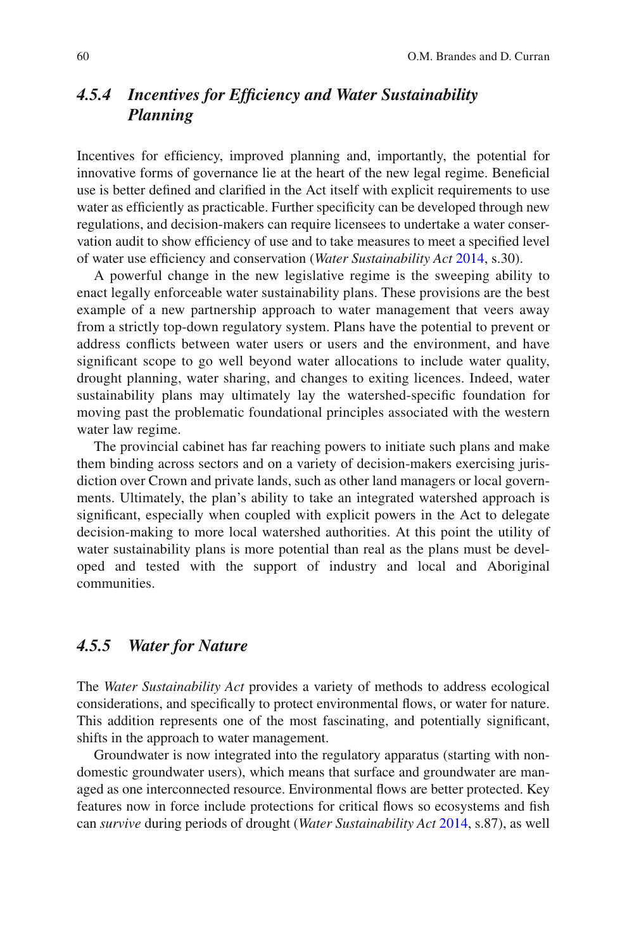## 4.5.4 Incentives for *Efficiency and Water Sustainability Planning*

Incentives for efficiency, improved planning and, importantly, the potential for innovative forms of governance lie at the heart of the new legal regime. Beneficial use is better defined and clarified in the Act itself with explicit requirements to use water as efficiently as practicable. Further specificity can be developed through new regulations, and decision-makers can require licensees to undertake a water conservation audit to show efficiency of use and to take measures to meet a specified level of water use efficiency and conservation (*Water Sustainability Act* 2014, s.30).

 A powerful change in the new legislative regime is the sweeping ability to enact legally enforceable water sustainability plans. These provisions are the best example of a new partnership approach to water management that veers away from a strictly top-down regulatory system. Plans have the potential to prevent or address conflicts between water users or users and the environment, and have significant scope to go well beyond water allocations to include water quality, drought planning, water sharing, and changes to exiting licences. Indeed, water sustainability plans may ultimately lay the watershed-specific foundation for moving past the problematic foundational principles associated with the western water law regime.

 The provincial cabinet has far reaching powers to initiate such plans and make them binding across sectors and on a variety of decision-makers exercising jurisdiction over Crown and private lands, such as other land managers or local governments. Ultimately, the plan's ability to take an integrated watershed approach is significant, especially when coupled with explicit powers in the Act to delegate decision-making to more local watershed authorities. At this point the utility of water sustainability plans is more potential than real as the plans must be developed and tested with the support of industry and local and Aboriginal communities.

## *4.5.5 Water for Nature*

 The *Water Sustainability Act* provides a variety of methods to address ecological considerations, and specifically to protect environmental flows, or water for nature. This addition represents one of the most fascinating, and potentially significant, shifts in the approach to water management.

 Groundwater is now integrated into the regulatory apparatus (starting with nondomestic groundwater users), which means that surface and groundwater are managed as one interconnected resource. Environmental flows are better protected. Key features now in force include protections for critical flows so ecosystems and fish can *survive* during periods of drought ( *Water Sustainability Act* [2014](#page-22-0) , s.87), as well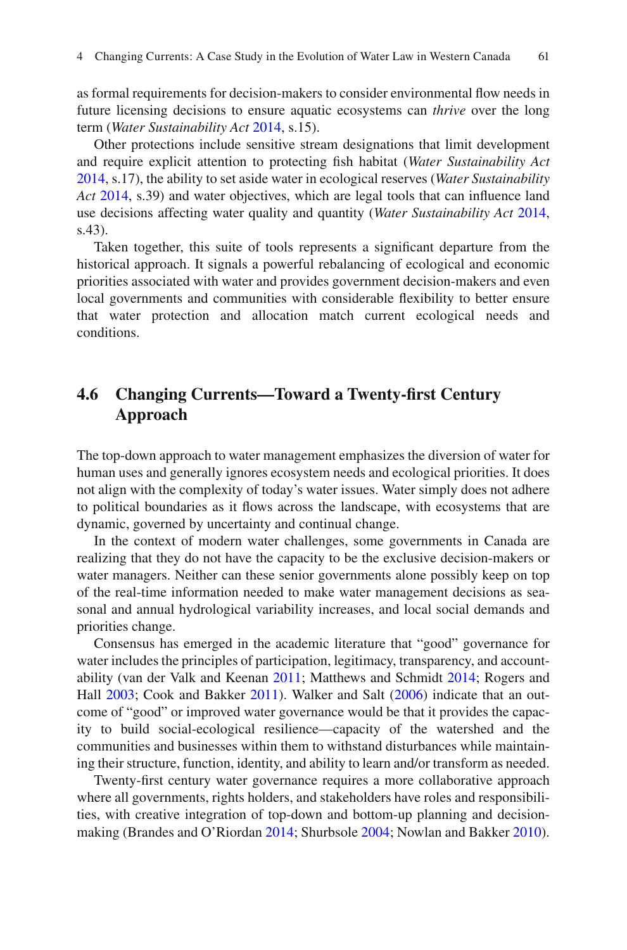as formal requirements for decision-makers to consider environmental flow needs in future licensing decisions to ensure aquatic ecosystems can *thrive* over the long term (*Water Sustainability Act* [2014](#page-22-0), s.15).

 Other protections include sensitive stream designations that limit development and require explicit attention to protecting fish habitat (Water Sustainability Act [2014 ,](#page-22-0) s.17), the ability to set aside water in ecological reserves ( *Water Sustainability Act* [2014](#page-22-0), s.39) and water objectives, which are legal tools that can influence land use decisions affecting water quality and quantity ( *Water Sustainability Act* [2014](#page-22-0) , s.43).

Taken together, this suite of tools represents a significant departure from the historical approach. It signals a powerful rebalancing of ecological and economic priorities associated with water and provides government decision-makers and even local governments and communities with considerable flexibility to better ensure that water protection and allocation match current ecological needs and conditions.

## **4.6 Changing Currents—Toward a Twenty-first Century Approach**

 The top-down approach to water management emphasizes the diversion of water for human uses and generally ignores ecosystem needs and ecological priorities. It does not align with the complexity of today's water issues. Water simply does not adhere to political boundaries as it flows across the landscape, with ecosystems that are dynamic, governed by uncertainty and continual change.

 In the context of modern water challenges, some governments in Canada are realizing that they do not have the capacity to be the exclusive decision-makers or water managers. Neither can these senior governments alone possibly keep on top of the real-time information needed to make water management decisions as seasonal and annual hydrological variability increases, and local social demands and priorities change.

 Consensus has emerged in the academic literature that "good" governance for water includes the principles of participation, legitimacy, transparency , and account-ability (van der Valk and Keenan [2011](#page-21-0); Matthews and Schmidt 2014; Rogers and Hall [2003](#page-21-0); Cook and Bakker [2011](#page-19-0)). Walker and Salt (2006) indicate that an outcome of "good" or improved water governance would be that it provides the capacity to build social-ecological resilience —capacity of the watershed and the communities and businesses within them to withstand disturbances while maintaining their structure, function, identity, and ability to learn and/or transform as needed.

Twenty-first century water governance requires a more collaborative approach where all governments, rights holders, and stakeholders have roles and responsibilities, with creative integration of top-down and bottom-up planning and decision-making (Brandes and O'Riordan [2014](#page-19-0); Shurbsole [2004](#page-21-0); Nowlan and Bakker 2010).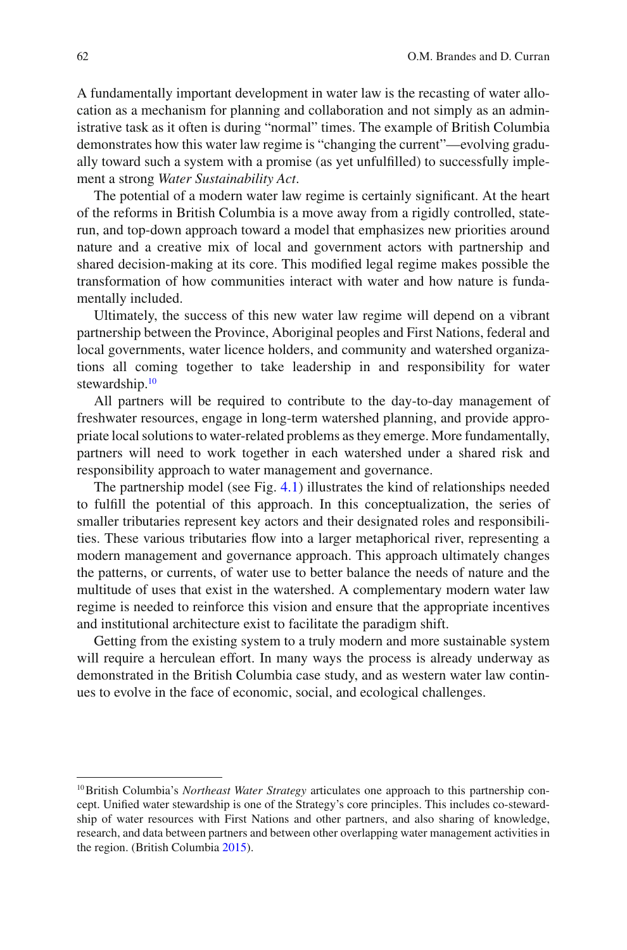A fundamentally important development in water law is the recasting of water allocation as a mechanism for planning and collaboration and not simply as an administrative task as it often is during "normal" times. The example of British Columbia demonstrates how this water law regime is "changing the current"—evolving gradually toward such a system with a promise (as yet unfulfilled) to successfully implement a strong *Water Sustainability Act* .

The potential of a modern water law regime is certainly significant. At the heart of the reforms in British Columbia is a move away from a rigidly controlled, staterun, and top-down approach toward a model that emphasizes new priorities around nature and a creative mix of local and government actors with partnership and shared decision-making at its core. This modified legal regime makes possible the transformation of how communities interact with water and how nature is fundamentally included.

 Ultimately, the success of this new water law regime will depend on a vibrant partnership between the Province, Aboriginal peoples and First Nations , federal and local governments, water licence holders, and community and watershed organizations all coming together to take leadership in and responsibility for water stewardship.<sup>10</sup>

 All partners will be required to contribute to the day-to-day management of freshwater resources, engage in long-term watershed planning, and provide appropriate local solutions to water-related problems as they emerge. More fundamentally, partners will need to work together in each watershed under a shared risk and responsibility approach to water management and governance .

The partnership model (see Fig. [4.1](#page-18-0)) illustrates the kind of relationships needed to fulfill the potential of this approach. In this conceptualization, the series of smaller tributaries represent key actors and their designated roles and responsibilities. These various tributaries flow into a larger metaphorical river, representing a modern management and governance approach. This approach ultimately changes the patterns, or currents, of water use to better balance the needs of nature and the multitude of uses that exist in the watershed . A complementary modern water law regime is needed to reinforce this vision and ensure that the appropriate incentives and institutional architecture exist to facilitate the paradigm shift.

 Getting from the existing system to a truly modern and more sustainable system will require a herculean effort. In many ways the process is already underway as demonstrated in the British Columbia case study, and as western water law continues to evolve in the face of economic, social, and ecological challenges.

<sup>10</sup> British Columbia 's *Northeast Water Strategy* articulates one approach to this partnership concept. Unified water stewardship is one of the Strategy's core principles. This includes co-stewardship of water resources with First Nations and other partners, and also sharing of knowledge, research, and data between partners and between other overlapping water management activities in the region. (British Columbia 2015).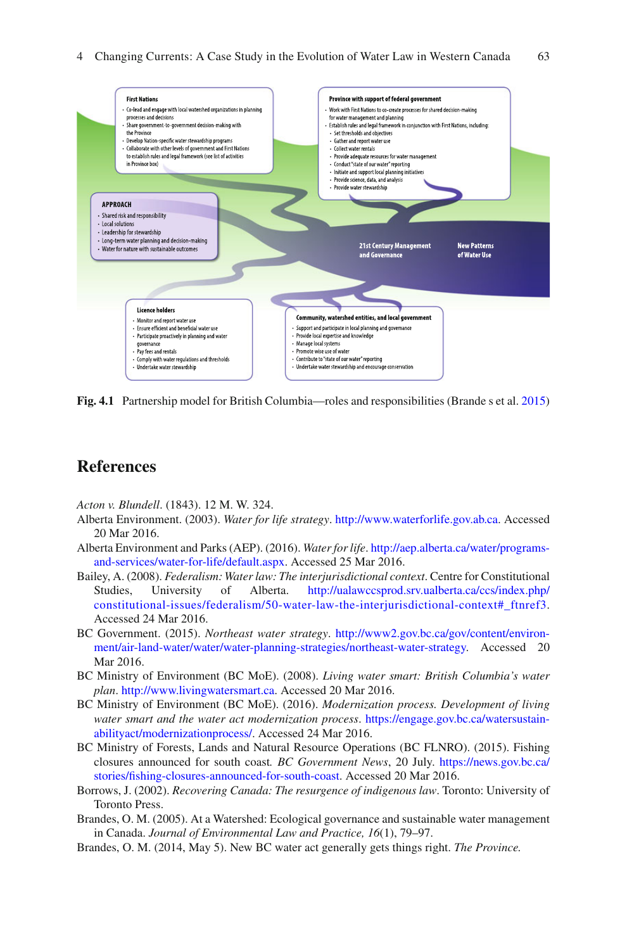<span id="page-18-0"></span>

**Fig. 4.1** Partnership model for British Columbia—roles and responsibilities (Brande s et al. 2015)

## **References**

*Acton v. Blundell* . (1843). 12 M. W. 324.

- Alberta Environment. (2003). *Water for life strategy* . [http://www.waterforlife.gov.ab.ca](http://www.waterforlife.gov.ab.ca/). Accessed 20 Mar 2016.
- Alberta Environment and Parks (AEP). (2016). *Water for life* . [http://aep.alberta.ca/water/programs](http://aep.alberta.ca/water/programs-and-services/water-for-life/default.aspx)[and- services/water-for-life/default.aspx.](http://aep.alberta.ca/water/programs-and-services/water-for-life/default.aspx) Accessed 25 Mar 2016.
- Bailey, A. (2008). *Federalism: Water law: The interjurisdictional context* . Centre for Constitutional Studies, University of Alberta. [http://ualawccsprod.srv.ualberta.ca/ccs/index.php/](http://ualawccsprod.srv.ualberta.ca/ccs/index.php/constitutional-issues/federalism/50-water-law-the-interjurisdictional-context#_ftnref3) [constitutional- issues/federalism/50-water-law-the-interjurisdictional-context#\\_ftnref3](http://ualawccsprod.srv.ualberta.ca/ccs/index.php/constitutional-issues/federalism/50-water-law-the-interjurisdictional-context#_ftnref3). Accessed 24 Mar 2016.
- BC Government. (2015). *Northeast water strategy* . [http://www2.gov.bc.ca/gov/content/environ](http://www2.gov.bc.ca/gov/content/environment/air-land-water/water/water-planning-strategies/northeast-water-strategy)[ment/air-land-water/water/water-planning-strategies/northeast-water-strategy.](http://www2.gov.bc.ca/gov/content/environment/air-land-water/water/water-planning-strategies/northeast-water-strategy) Accessed 20 Mar 2016.
- BC Ministry of Environment (BC MoE). (2008). *Living water smart: British Columbia's water plan* . [http://www.livingwatersmart.ca](http://www.livingwatersmart.ca/). Accessed 20 Mar 2016.
- BC Ministry of Environment (BC MoE). (2016). *Modernization process. Development of living water smart and the water act modernization process* . [https://engage.gov.bc.ca/watersustain](https://engage.gov.bc.ca/watersustainabilityact/modernizationprocess/)[abilityact/modernizationprocess/.](https://engage.gov.bc.ca/watersustainabilityact/modernizationprocess/) Accessed 24 Mar 2016.
- BC Ministry of Forests, Lands and Natural Resource Operations (BC FLNRO). (2015). Fishing closures announced for south coast *. BC Government News* , 20 July. [https://news.gov.bc.ca/](https://news.gov.bc.ca/stories/fishing-closures-announced-for-south-coast) stories/fishing-closures-announced-for-south-coast. Accessed 20 Mar 2016.
- Borrows, J. (2002). *Recovering Canada: The resurgence of indigenous law* . Toronto: University of Toronto Press.
- Brandes, O. M. (2005). At a Watershed: Ecological governance and sustainable water management in Canada. *Journal of Environmental Law and Practice, 16* (1), 79–97.
- Brandes, O. M. (2014, May 5). New BC water act generally gets things right. *The Province.*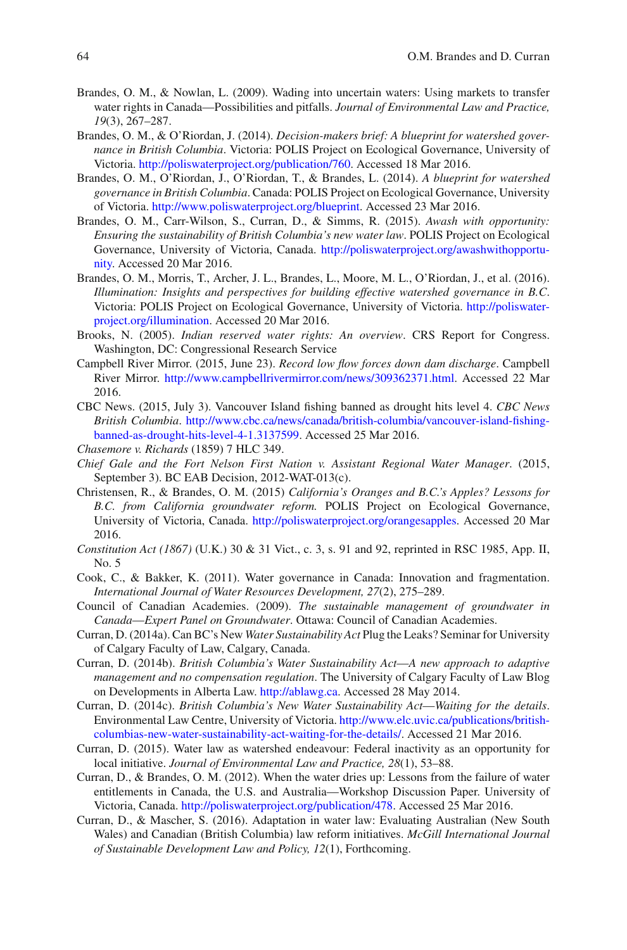- <span id="page-19-0"></span> Brandes, O. M., & Nowlan, L. (2009). Wading into uncertain waters: Using markets to transfer water rights in Canada—Possibilities and pitfalls. *Journal of Environmental Law and Practice, 19* (3), 267–287.
- Brandes, O. M., & O'Riordan, J. (2014). *Decision-makers brief: A blueprint for watershed governance in British Columbia* . Victoria: POLIS Project on Ecological Governance, University of Victoria. [http://poliswaterproject.org/publication/760.](http://poliswaterproject.org/publication/760) Accessed 18 Mar 2016.
- Brandes, O. M., O'Riordan, J., O'Riordan, T., & Brandes, L. (2014). *A blueprint for watershed governance in British Columbia* . Canada: POLIS Project on Ecological Governance, University of Victoria. <http://www.poliswaterproject.org/blueprint>. Accessed 23 Mar 2016.
- Brandes, O. M., Carr-Wilson, S., Curran, D., & Simms, R. (2015). *Awash with opportunity: Ensuring the sustainability of British Columbia's new water law* . POLIS Project on Ecological Governance, University of Victoria, Canada. [http://poliswaterproject.org/awashwithopportu](http://poliswaterproject.org/awashwithopportunity)[nity.](http://poliswaterproject.org/awashwithopportunity) Accessed 20 Mar 2016.
- Brandes, O. M., Morris, T., Archer, J. L., Brandes, L., Moore, M. L., O'Riordan, J., et al. (2016). *Illumination: Insights and perspectives for building effective watershed governance in B.C* . Victoria: POLIS Project on Ecological Governance, University of Victoria. [http://poliswater](http://poliswaterproject.org/illumination)[project.org/illumination.](http://poliswaterproject.org/illumination) Accessed 20 Mar 2016.
- Brooks, N. (2005). *Indian reserved water rights: An overview* . CRS Report for Congress. Washington, DC: Congressional Research Service
- Campbell River Mirror. (2015, June 23). *Record low flow forces down dam discharge*. Campbell River Mirror. [http://www.campbellrivermirror.com/news/309362371.html.](http://www.campbellrivermirror.com/news/309362371.html) Accessed 22 Mar 2016.
- CBC News. (2015, July 3). Vancouver Island fishing banned as drought hits level 4. *CBC News British Columbia*. http://www.cbc.ca/news/canada/british-columbia/vancouver-island-fishing[banned-as-drought-hits-level-4-1.3137599.](http://www.cbc.ca/news/canada/british-columbia/vancouver-island-fishing-banned-as-drought-hits-level-4-1.3137599) Accessed 25 Mar 2016.
- *Chasemore v. Richards* (1859) 7 HLC 349.
- *Chief Gale and the Fort Nelson First Nation v. Assistant Regional Water Manager* . (2015, September 3). BC EAB Decision, 2012-WAT-013(c).
- Christensen, R., & Brandes, O. M. (2015) *California's Oranges and B.C.'s Apples? Lessons for B.C. from California groundwater reform.* POLIS Project on Ecological Governance, University of Victoria, Canada. <http://poliswaterproject.org/orangesapples>. Accessed 20 Mar 2016.
- *Constitution Act (1867)* (U.K.) 30 & 31 Vict., c. 3, s. 91 and 92, reprinted in RSC 1985, App. II, No. 5
- Cook, C., & Bakker, K. (2011). Water governance in Canada: Innovation and fragmentation. *International Journal of Water Resources Development, 27* (2), 275–289.
- Council of Canadian Academies. (2009). *The sustainable management of groundwater in Canada* — *Expert Panel on Groundwater* . Ottawa: Council of Canadian Academies.
- Curran, D. (2014a). Can BC's New *Water Sustainability Act* Plug the Leaks? Seminar for University of Calgary Faculty of Law, Calgary, Canada.
- Curran, D. (2014b). *British Columbia's Water Sustainability Act A new approach to adaptive management and no compensation regulation* . The University of Calgary Faculty of Law Blog on Developments in Alberta Law. [http://ablawg.ca.](http://ablawg.ca/) Accessed 28 May 2014.
- Curran, D. (2014c). *British Columbia's New Water Sustainability Act Waiting for the details* . Environmental Law Centre, University of Victoria. [http://www.elc.uvic.ca/publications/british](http://www.elc.uvic.ca/publications/british-columbias-new-water-sustainability-act-waiting-for-the-details/)[columbias- new-water-sustainability-act-waiting-for-the-details/](http://www.elc.uvic.ca/publications/british-columbias-new-water-sustainability-act-waiting-for-the-details/). Accessed 21 Mar 2016.
- Curran, D. (2015). Water law as watershed endeavour: Federal inactivity as an opportunity for local initiative. *Journal of Environmental Law and Practice*, 28(1), 53-88.
- Curran, D., & Brandes, O. M. (2012). When the water dries up: Lessons from the failure of water entitlements in Canada, the U.S. and Australia—Workshop Discussion Paper. University of Victoria, Canada.<http://poliswaterproject.org/publication/478>. Accessed 25 Mar 2016.
- Curran, D., & Mascher, S. (2016). Adaptation in water law: Evaluating Australian (New South Wales) and Canadian (British Columbia) law reform initiatives. *McGill International Journal of Sustainable Development Law and Policy, 12* (1), Forthcoming.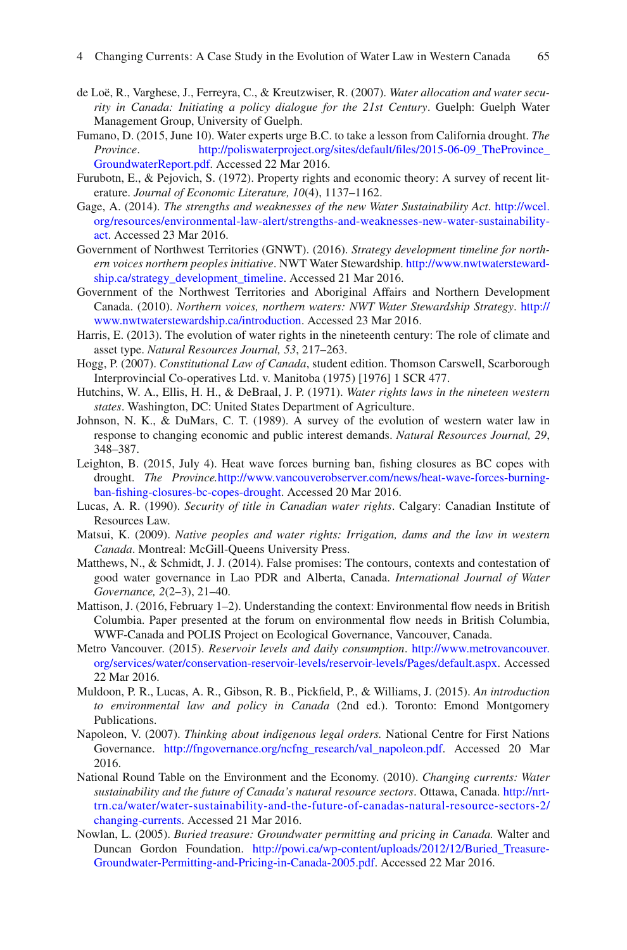- <span id="page-20-0"></span> de Loë, R., Varghese, J., Ferreyra, C., & Kreutzwiser, R. (2007). *Water allocation and water security in Canada: Initiating a policy dialogue for the 21st Century* . Guelph: Guelph Water Management Group, University of Guelph.
- Fumano, D. (2015, June 10). Water experts urge B.C. to take a lesson from California drought. *The Province.* http://poliswaterproject.org/sites/default/files/2015-06-09\_TheProvince [GroundwaterReport.pdf](http://poliswaterproject.org/sites/default/files/2015-06-09_TheProvince_GroundwaterReport.pdf). Accessed 22 Mar 2016.
- Furubotn, E., & Pejovich, S. (1972). Property rights and economic theory: A survey of recent literature. *Journal of Economic Literature, 10*(4), 1137-1162.
- Gage, A. (2014). *The strengths and weaknesses of the new Water Sustainability Act.* [http://wcel.](http://wcel.org/resources/environmental-law-alert/strengths-and-weaknesses-new-water-sustainability-act) [org/resources/environmental-law-alert/strengths-and-weaknesses-new-water-sustainability](http://wcel.org/resources/environmental-law-alert/strengths-and-weaknesses-new-water-sustainability-act)[act.](http://wcel.org/resources/environmental-law-alert/strengths-and-weaknesses-new-water-sustainability-act) Accessed 23 Mar 2016.
- Government of Northwest Territories (GNWT). (2016). *Strategy development timeline for northern voices northern peoples initiative* . NWT Water Stewardship. [http://www.nwtwatersteward](http://www.nwtwaterstewardship.ca/strategy_development_timeline)[ship.ca/strategy\\_development\\_timeline.](http://www.nwtwaterstewardship.ca/strategy_development_timeline) Accessed 21 Mar 2016.
- Government of the Northwest Territories and Aboriginal Affairs and Northern Development Canada. (2010). *Northern voices, northern waters: NWT Water Stewardship Strategy* . [http://](http://www.nwtwaterstewardship.ca/introduction) [www.nwtwaterstewardship.ca/introduction](http://www.nwtwaterstewardship.ca/introduction). Accessed 23 Mar 2016.
- Harris, E. (2013). The evolution of water rights in the nineteenth century: The role of climate and asset type. *Natural Resources Journal, 53* , 217–263.
- Hogg, P. (2007). *Constitutional Law of Canada* , student edition. Thomson Carswell, Scarborough Interprovincial Co-operatives Ltd. v. Manitoba (1975) [1976] 1 SCR 477.
- Hutchins, W. A., Ellis, H. H., & DeBraal, J. P. (1971). *Water rights laws in the nineteen western states* . Washington, DC: United States Department of Agriculture.
- Johnson, N. K., & DuMars, C. T. (1989). A survey of the evolution of western water law in response to changing economic and public interest demands. *Natural Resources Journal, 29* , 348–387.
- Leighton, B. (2015, July 4). Heat wave forces burning ban, fishing closures as BC copes with drought. *The Province.* [http://www.vancouverobserver.com/news/heat-wave-forces-burning](http://www.vancouverobserver.com/news/heat-wave-forces-burning-ban-fishing-closures-bc-copes-drought)ban-fishing-closures-bc-copes-drought. Accessed 20 Mar 2016.
- Lucas, A. R. (1990). *Security of title in Canadian water rights* . Calgary: Canadian Institute of Resources Law.
- Matsui, K. (2009). *Native peoples and water rights: Irrigation, dams and the law in western Canada* . Montreal: McGill-Queens University Press.
- Matthews, N., & Schmidt, J. J. (2014). False promises: The contours, contexts and contestation of good water governance in Lao PDR and Alberta, Canada. *International Journal of Water Governance, 2* (2–3), 21–40.
- Mattison, J. (2016, February 1–2). Understanding the context: Environmental flow needs in British Columbia. Paper presented at the forum on environmental flow needs in British Columbia, WWF-Canada and POLIS Project on Ecological Governance, Vancouver, Canada.
- Metro Vancouver. (2015). *Reservoir levels and daily consumption* . [http://www.metrovancouver.](http://www.metrovancouver.org/services/water/conservation-reservoir-levels/reservoir-levels/Pages/default.aspx) [org/services/water/conservation-reservoir-levels/reservoir-levels/Pages/default.aspx.](http://www.metrovancouver.org/services/water/conservation-reservoir-levels/reservoir-levels/Pages/default.aspx) Accessed 22 Mar 2016.
- Muldoon, P. R., Lucas, A. R., Gibson, R. B., Pickfield, P., & Williams, J. (2015). *An introduction to environmental law and policy in Canada* (2nd ed.). Toronto: Emond Montgomery Publications.
- Napoleon, V. (2007). *Thinking about indigenous legal orders.* National Centre for First Nations Governance. [http://fngovernance.org/ncfng\\_research/val\\_napoleon.pdf](http://fngovernance.org/ncfng_research/val_napoleon.pdf). Accessed 20 Mar 2016.
- National Round Table on the Environment and the Economy. (2010). *Changing currents: Water sustainability and the future of Canada's natural resource sectors* . Ottawa, Canada. [http://nrt](http://nrt-trn.ca/water/water-sustainability-and-the-future-of-canadas-natural-resource-sectors-2/changing-currents)[trn.ca/water/water-sustainability-and-the-future-of-canadas-natural-resource-sectors-2/](http://nrt-trn.ca/water/water-sustainability-and-the-future-of-canadas-natural-resource-sectors-2/changing-currents) [changing- currents](http://nrt-trn.ca/water/water-sustainability-and-the-future-of-canadas-natural-resource-sectors-2/changing-currents). Accessed 21 Mar 2016.
- Nowlan, L. (2005). *Buried treasure: Groundwater permitting and pricing in Canada.* Walter and Duncan Gordon Foundation. [http://powi.ca/wp-content/uploads/2012/12/Buried\\_Treasure-](http://powi.ca/wp-content/uploads/2012/12/Buried_Treasure-Groundwater-Permitting-and-Pricing-in-Canada-2005.pdf)[Groundwater- Permitting-and-Pricing-in-Canada-2005.pdf.](http://powi.ca/wp-content/uploads/2012/12/Buried_Treasure-Groundwater-Permitting-and-Pricing-in-Canada-2005.pdf) Accessed 22 Mar 2016.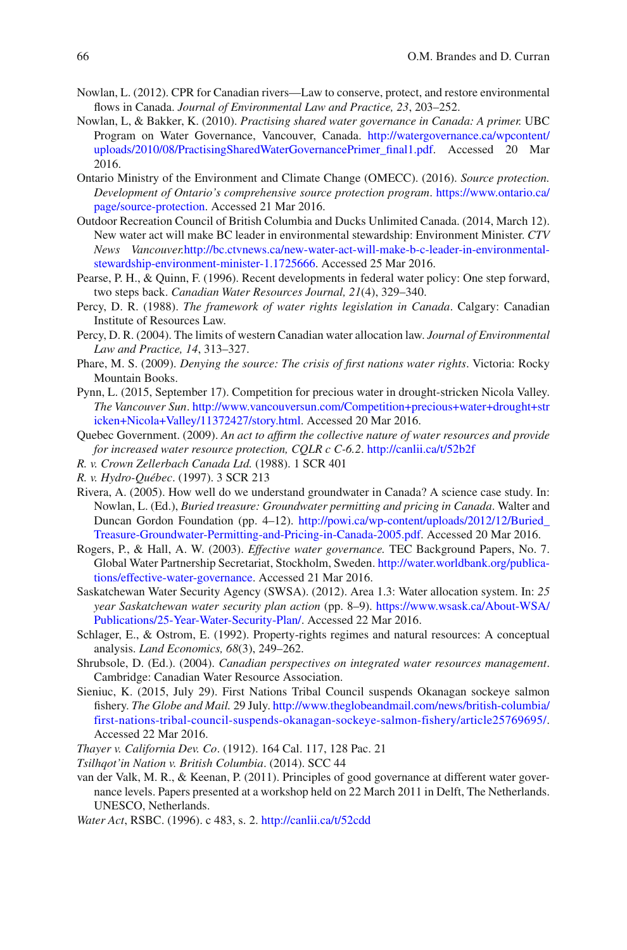- <span id="page-21-0"></span> Nowlan, L. (2012). CPR for Canadian rivers—Law to conserve, protect, and restore environmental flows in Canada. *Journal of Environmental Law and Practice*, 23, 203–252.
- Nowlan, L, & Bakker, K. (2010). *Practising shared water governance in Canada: A primer.* UBC Program on Water Governance, Vancouver, Canada. [http://watergovernance.ca/wpcontent/](http://watergovernance.ca/wpcontent/uploads/2010/08/PractisingSharedWaterGovernancePrimer_final1.pdf) uploads/2010/08/PractisingSharedWaterGovernancePrimer\_final1.pdf. Accessed 20 Mar 2016.
- Ontario Ministry of the Environment and Climate Change (OMECC). (2016). *Source protection. Development of Ontario's comprehensive source protection program* . [https://www.ontario.ca/](https://www.ontario.ca/page/source-protection) [page/source-protection.](https://www.ontario.ca/page/source-protection) Accessed 21 Mar 2016.
- Outdoor Recreation Council of British Columbia and Ducks Unlimited Canada. (2014, March 12). New water act will make BC leader in environmental stewardship: Environment Minister. *CTV News Vancouver.* [http://bc.ctvnews.ca/new-water-act-will-make-b-c-leader-in-environmental](http://bc.ctvnews.ca/new-water-act-will-make-b-c-leader-in-environmental-stewardship-environment-minister-1.1725666)stewardship-environment-minister-1.1725666. Accessed 25 Mar 2016.
- Pearse, P. H., & Quinn, F. (1996). Recent developments in federal water policy: One step forward, two steps back. *Canadian Water Resources Journal, 21* (4), 329–340.
- Percy, D. R. (1988). *The framework of water rights legislation in Canada* . Calgary: Canadian Institute of Resources Law.
- Percy, D. R. (2004). The limits of western Canadian water allocation law. *Journal of Environmental Law and Practice, 14* , 313–327.
- Phare, M. S. (2009). *Denying the source: The crisis of first nations water rights*. Victoria: Rocky Mountain Books.
- Pynn, L. (2015, September 17). Competition for precious water in drought-stricken Nicola Valley. *The Vancouver Sun* . [http://www.vancouversun.com/Competition+precious+water+drought+str](http://www.vancouversun.com/Competition+precious+water+drought+stricken+Nicola+Valley/11372427/story.html) [icken+Nicola+Valley/11372427/story.html.](http://www.vancouversun.com/Competition+precious+water+drought+stricken+Nicola+Valley/11372427/story.html) Accessed 20 Mar 2016.
- Quebec Government. (2009). An act to affirm the collective nature of water resources and provide *for increased water resource protection, CQLR c C-6.2* .<http://canlii.ca/t/52b2f>
- *R. v. Crown Zellerbach Canada Ltd.* (1988). 1 SCR 401
- *R. v. Hydro-Québec* . (1997). 3 SCR 213
- Rivera, A. (2005). How well do we understand groundwater in Canada? A science case study. In: Nowlan, L. (Ed.), *Buried treasure: Groundwater permitting and pricing in Canada* . Walter and Duncan Gordon Foundation (pp. 4–12). [http://powi.ca/wp-content/uploads/2012/12/Buried\\_](http://powi.ca/wp-content/uploads/2012/12/Buried_Treasure-Groundwater-Permitting-and-Pricing-in-Canada-2005.pdf) [Treasure- Groundwater- Permitting-and-Pricing-in-Canada-2005.pdf.](http://powi.ca/wp-content/uploads/2012/12/Buried_Treasure-Groundwater-Permitting-and-Pricing-in-Canada-2005.pdf) Accessed 20 Mar 2016.
- Rogers, P., & Hall, A. W. (2003). *Effective water governance.* TEC Background Papers, No. 7. Global Water Partnership Secretariat, Stockholm, Sweden. [http://water.worldbank.org/publica](http://water.worldbank.org/publications/effective-water-governance)[tions/effective-water-governance](http://water.worldbank.org/publications/effective-water-governance). Accessed 21 Mar 2016.
- Saskatchewan Water Security Agency (SWSA). (2012). Area 1.3: Water allocation system. In: *25 year Saskatchewan water security plan action* (pp. 8–9). [https://www.wsask.ca/About-WSA/](https://www.wsask.ca/About-WSA/Publications/25-Year-Water-Security-Plan/) [Publications/25-Year-Water-Security-Plan/](https://www.wsask.ca/About-WSA/Publications/25-Year-Water-Security-Plan/). Accessed 22 Mar 2016.
- Schlager, E., & Ostrom, E. (1992). Property-rights regimes and natural resources: A conceptual analysis. *Land Economics, 68* (3), 249–262.
- Shrubsole, D. (Ed.). (2004). *Canadian perspectives on integrated water resources management* . Cambridge: Canadian Water Resource Association.
- Sieniuc, K. (2015, July 29). First Nations Tribal Council suspends Okanagan sockeye salmon fishery. *The Globe and Mail.* 29 July. [http://www.theglobeandmail.com/news/british-columbia/](http://www.theglobeandmail.com/news/british-columbia/first-nations-tribal-council-suspends-okanagan-sockeye-salmon-fishery/article25769695/) [first-nations-tribal-council-suspends-okanagan-sockeye-salmon-fishery/article25769695/](http://www.theglobeandmail.com/news/british-columbia/first-nations-tribal-council-suspends-okanagan-sockeye-salmon-fishery/article25769695/). Accessed 22 Mar 2016.

*Thayer v. California Dev. Co* . (1912). 164 Cal. 117, 128 Pac. 21

*Tsilhqot'in Nation v. British Columbia* . (2014). SCC 44

 van der Valk, M. R., & Keenan, P. (2011). Principles of good governance at different water governance levels. Papers presented at a workshop held on 22 March 2011 in Delft, The Netherlands. UNESCO, Netherlands.

*Water Act* , RSBC. (1996). c 483, s. 2.<http://canlii.ca/t/52cdd>